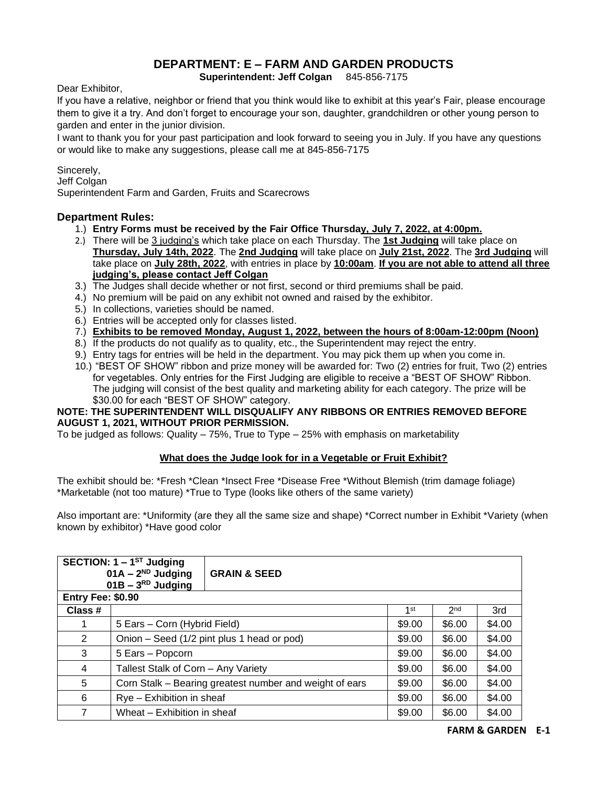## **DEPARTMENT: E – FARM AND GARDEN PRODUCTS**

**Superintendent: Jeff Colgan** 845-856-7175

Dear Exhibitor,

If you have a relative, neighbor or friend that you think would like to exhibit at this year's Fair, please encourage them to give it a try. And don't forget to encourage your son, daughter, grandchildren or other young person to garden and enter in the junior division.

I want to thank you for your past participation and look forward to seeing you in July. If you have any questions or would like to make any suggestions, please call me at 845-856-7175

Sincerely,

Jeff Colgan

Superintendent Farm and Garden, Fruits and Scarecrows

### **Department Rules:**

- 1.) **Entry Forms must be received by the Fair Office Thursday, July 7, 2022, at 4:00pm.**
- 2.) There will be 3 judging's which take place on each Thursday. The **1st Judging** will take place on **Thursday, July 14th, 2022**. The **2nd Judging** will take place on **July 21st, 2022**. The **3rd Judging** will take place on **July 28th, 2022**, with entries in place by **10:00am**. **If you are not able to attend all three judging's, please contact Jeff Colgan**
- 3.) The Judges shall decide whether or not first, second or third premiums shall be paid.
- 4.) No premium will be paid on any exhibit not owned and raised by the exhibitor.
- 5.) In collections, varieties should be named.
- 6.) Entries will be accepted only for classes listed.
- 7.) **Exhibits to be removed Monday, August 1, 2022, between the hours of 8:00am-12:00pm (Noon)**
- 8.) If the products do not qualify as to quality, etc., the Superintendent may reject the entry.
- 9.) Entry tags for entries will be held in the department. You may pick them up when you come in.
- 10.) "BEST OF SHOW" ribbon and prize money will be awarded for: Two (2) entries for fruit, Two (2) entries for vegetables. Only entries for the First Judging are eligible to receive a "BEST OF SHOW" Ribbon. The judging will consist of the best quality and marketing ability for each category. The prize will be \$30.00 for each "BEST OF SHOW" category.

#### **NOTE: THE SUPERINTENDENT WILL DISQUALIFY ANY RIBBONS OR ENTRIES REMOVED BEFORE AUGUST 1, 2021, WITHOUT PRIOR PERMISSION.**

To be judged as follows: Quality  $-75\%$ , True to Type  $-25\%$  with emphasis on marketability

### **What does the Judge look for in a Vegetable or Fruit Exhibit?**

The exhibit should be: \*Fresh \*Clean \*Insect Free \*Disease Free \*Without Blemish (trim damage foliage) \*Marketable (not too mature) \*True to Type (looks like others of the same variety)

Also important are: \*Uniformity (are they all the same size and shape) \*Correct number in Exhibit \*Variety (when known by exhibitor) \*Have good color

|                          | SECTION: $1 - 1$ <sup>ST</sup> Judging<br>$01A - 2^{ND}$ Judging<br><b>GRAIN &amp; SEED</b><br>$01B - 3^{RD}$ Judging |        |                 |        |
|--------------------------|-----------------------------------------------------------------------------------------------------------------------|--------|-----------------|--------|
| <b>Entry Fee: \$0.90</b> |                                                                                                                       |        |                 |        |
| Class #                  |                                                                                                                       | 1st    | 2 <sub>nd</sub> | 3rd    |
|                          | 5 Ears - Corn (Hybrid Field)                                                                                          | \$9.00 | \$6.00          | \$4.00 |
| 2                        | Onion - Seed (1/2 pint plus 1 head or pod)                                                                            | \$9.00 | \$6.00          | \$4.00 |
| 3                        | 5 Ears - Popcorn                                                                                                      | \$9.00 | \$6.00          | \$4.00 |
| 4                        | Tallest Stalk of Corn - Any Variety                                                                                   | \$9.00 | \$6.00          | \$4.00 |
| 5                        | Corn Stalk - Bearing greatest number and weight of ears                                                               | \$9.00 | \$6.00          | \$4.00 |
| 6                        | Rye - Exhibition in sheaf                                                                                             | \$9.00 | \$6.00          | \$4.00 |
| 7                        | Wheat - Exhibition in sheaf                                                                                           | \$9.00 | \$6.00          | \$4.00 |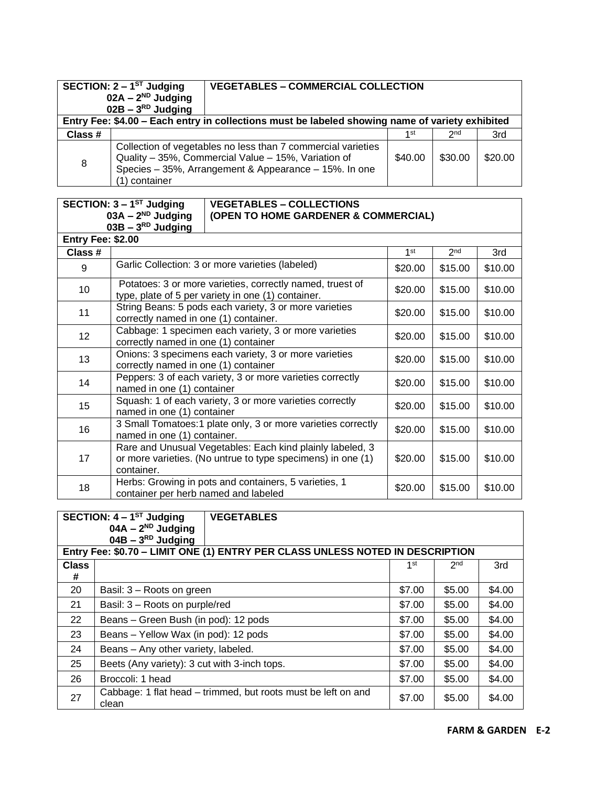| SECTION: $2 - 1$ <sup>ST</sup> Judging<br>$02A - 2^{ND}$ Judging<br>$02B - 3^{RD}$ Judging      |               | <b>VEGETABLES - COMMERCIAL COLLECTION</b>                                                                                                                                    |         |                 |         |
|-------------------------------------------------------------------------------------------------|---------------|------------------------------------------------------------------------------------------------------------------------------------------------------------------------------|---------|-----------------|---------|
| Entry Fee: \$4.00 - Each entry in collections must be labeled showing name of variety exhibited |               |                                                                                                                                                                              |         |                 |         |
| Class #                                                                                         |               |                                                                                                                                                                              | 1st     | 2 <sub>nd</sub> | 3rd     |
| 8                                                                                               | (1) container | Collection of vegetables no less than 7 commercial varieties<br>Quality - 35%, Commercial Value - 15%, Variation of<br>Species - 35%, Arrangement & Appearance - 15%. In one | \$40.00 | \$30.00         | \$20.00 |

**SECTION: 3 – 1 ST Judging 03A – 2 ND Judging**

# **VEGETABLES – COLLECTIONS (OPEN TO HOME GARDENER & COMMERCIAL)**

|                          | $03B - 3^{RD}$ Judging                                                                                                                 |         |                 |         |  |  |  |
|--------------------------|----------------------------------------------------------------------------------------------------------------------------------------|---------|-----------------|---------|--|--|--|
| <b>Entry Fee: \$2.00</b> |                                                                                                                                        |         |                 |         |  |  |  |
| Class #                  |                                                                                                                                        | 1st     | 2 <sub>nd</sub> | 3rd     |  |  |  |
| 9                        | Garlic Collection: 3 or more varieties (labeled)                                                                                       | \$20.00 | \$15.00         | \$10.00 |  |  |  |
| 10                       | Potatoes: 3 or more varieties, correctly named, truest of<br>type, plate of 5 per variety in one (1) container.                        | \$20.00 | \$15.00         | \$10.00 |  |  |  |
| 11                       | String Beans: 5 pods each variety, 3 or more varieties<br>correctly named in one (1) container.                                        | \$20.00 | \$15.00         | \$10.00 |  |  |  |
| 12                       | Cabbage: 1 specimen each variety, 3 or more varieties<br>correctly named in one (1) container                                          | \$20.00 | \$15.00         | \$10.00 |  |  |  |
| 13                       | Onions: 3 specimens each variety, 3 or more varieties<br>correctly named in one (1) container                                          | \$20.00 | \$15.00         | \$10.00 |  |  |  |
| 14                       | Peppers: 3 of each variety, 3 or more varieties correctly<br>named in one (1) container                                                | \$20.00 | \$15.00         | \$10.00 |  |  |  |
| 15                       | Squash: 1 of each variety, 3 or more varieties correctly<br>named in one (1) container                                                 | \$20.00 | \$15.00         | \$10.00 |  |  |  |
| 16                       | 3 Small Tomatoes: 1 plate only, 3 or more varieties correctly<br>named in one (1) container.                                           | \$20.00 | \$15.00         | \$10.00 |  |  |  |
| 17                       | Rare and Unusual Vegetables: Each kind plainly labeled, 3<br>or more varieties. (No untrue to type specimens) in one (1)<br>container. | \$20.00 | \$15.00         | \$10.00 |  |  |  |
| 18                       | Herbs: Growing in pots and containers, 5 varieties, 1<br>container per herb named and labeled                                          | \$20.00 | \$15.00         | \$10.00 |  |  |  |

|              | SECTION: $4 - 1$ <sup>ST</sup> Judging<br><b>VEGETABLES</b><br>$04A - 2^{ND}$ Judging<br>$04B - 3^{RD}$ Judging |        |                 |        |
|--------------|-----------------------------------------------------------------------------------------------------------------|--------|-----------------|--------|
|              | Entry Fee: \$0.70 - LIMIT ONE (1) ENTRY PER CLASS UNLESS NOTED IN DESCRIPTION                                   |        |                 |        |
| <b>Class</b> |                                                                                                                 | 1st    | 2 <sub>nd</sub> | 3rd    |
| #            |                                                                                                                 |        |                 |        |
| 20           | Basil: 3 – Roots on green                                                                                       | \$7.00 | \$5.00          | \$4.00 |
| 21           | Basil: 3 - Roots on purple/red                                                                                  |        | \$5.00          | \$4.00 |
| 22           | Beans – Green Bush (in pod): 12 pods                                                                            |        | \$5.00          | \$4.00 |
| 23           | Beans - Yellow Wax (in pod): 12 pods                                                                            | \$7.00 | \$5.00          | \$4.00 |
| 24           | Beans - Any other variety, labeled.                                                                             | \$7.00 | \$5.00          | \$4.00 |
| 25           | Beets (Any variety): 3 cut with 3-inch tops.                                                                    | \$7.00 | \$5.00          | \$4.00 |
| 26           | Broccoli: 1 head                                                                                                | \$7.00 | \$5.00          | \$4.00 |
| 27           | Cabbage: 1 flat head – trimmed, but roots must be left on and<br>clean                                          | \$7.00 | \$5.00          | \$4.00 |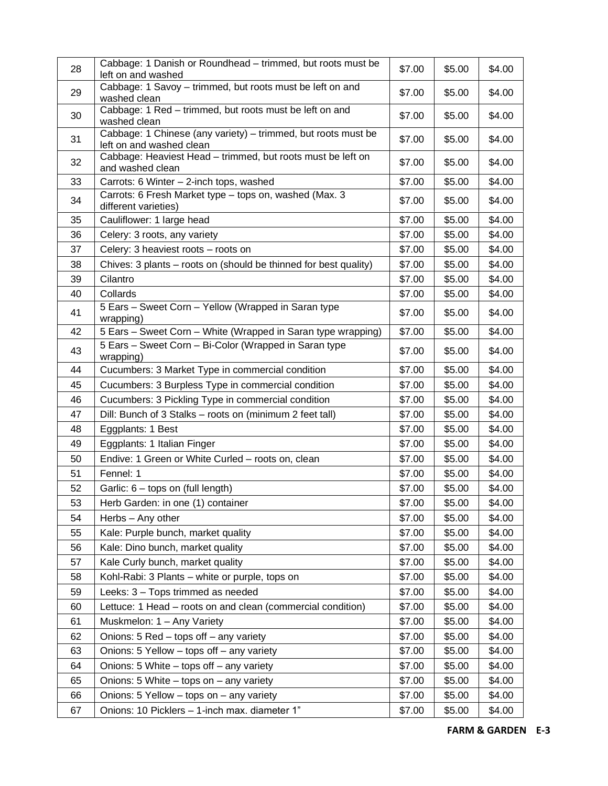| 28 | Cabbage: 1 Danish or Roundhead - trimmed, but roots must be<br>left on and washed         | \$7.00 | \$5.00 | \$4.00 |
|----|-------------------------------------------------------------------------------------------|--------|--------|--------|
| 29 | Cabbage: 1 Savoy - trimmed, but roots must be left on and<br>washed clean                 | \$7.00 | \$5.00 | \$4.00 |
| 30 | Cabbage: 1 Red - trimmed, but roots must be left on and<br>washed clean                   | \$7.00 | \$5.00 | \$4.00 |
| 31 | Cabbage: 1 Chinese (any variety) - trimmed, but roots must be<br>left on and washed clean | \$7.00 | \$5.00 | \$4.00 |
| 32 | Cabbage: Heaviest Head - trimmed, but roots must be left on<br>and washed clean           | \$7.00 | \$5.00 | \$4.00 |
| 33 | Carrots: 6 Winter - 2-inch tops, washed                                                   | \$7.00 | \$5.00 | \$4.00 |
| 34 | Carrots: 6 Fresh Market type - tops on, washed (Max. 3<br>different varieties)            | \$7.00 | \$5.00 | \$4.00 |
| 35 | Cauliflower: 1 large head                                                                 | \$7.00 | \$5.00 | \$4.00 |
| 36 | Celery: 3 roots, any variety                                                              | \$7.00 | \$5.00 | \$4.00 |
| 37 | Celery: 3 heaviest roots - roots on                                                       | \$7.00 | \$5.00 | \$4.00 |
| 38 | Chives: 3 plants – roots on (should be thinned for best quality)                          | \$7.00 | \$5.00 | \$4.00 |
| 39 | Cilantro                                                                                  | \$7.00 | \$5.00 | \$4.00 |
| 40 | Collards                                                                                  | \$7.00 | \$5.00 | \$4.00 |
| 41 | 5 Ears - Sweet Corn - Yellow (Wrapped in Saran type<br>wrapping)                          | \$7.00 | \$5.00 | \$4.00 |
| 42 | 5 Ears - Sweet Corn - White (Wrapped in Saran type wrapping)                              | \$7.00 | \$5.00 | \$4.00 |
| 43 | 5 Ears - Sweet Corn - Bi-Color (Wrapped in Saran type<br>wrapping)                        | \$7.00 | \$5.00 | \$4.00 |
| 44 | Cucumbers: 3 Market Type in commercial condition                                          | \$7.00 | \$5.00 | \$4.00 |
| 45 | Cucumbers: 3 Burpless Type in commercial condition                                        | \$7.00 | \$5.00 | \$4.00 |
| 46 | Cucumbers: 3 Pickling Type in commercial condition                                        | \$7.00 | \$5.00 | \$4.00 |
| 47 | Dill: Bunch of 3 Stalks - roots on (minimum 2 feet tall)                                  | \$7.00 | \$5.00 | \$4.00 |
| 48 | Eggplants: 1 Best                                                                         | \$7.00 | \$5.00 | \$4.00 |
| 49 | Eggplants: 1 Italian Finger                                                               | \$7.00 | \$5.00 | \$4.00 |
| 50 | Endive: 1 Green or White Curled - roots on, clean                                         | \$7.00 | \$5.00 | \$4.00 |
| 51 | Fennel: 1                                                                                 | \$7.00 | \$5.00 | \$4.00 |
| 52 | Garlic: 6 – tops on (full length)                                                         | \$7.00 | \$5.00 | \$4.00 |
| 53 | Herb Garden: in one (1) container                                                         | \$7.00 | \$5.00 | \$4.00 |
| 54 | Herbs - Any other                                                                         | \$7.00 | \$5.00 | \$4.00 |
| 55 | Kale: Purple bunch, market quality                                                        | \$7.00 | \$5.00 | \$4.00 |
| 56 | Kale: Dino bunch, market quality                                                          | \$7.00 | \$5.00 | \$4.00 |
| 57 | Kale Curly bunch, market quality                                                          | \$7.00 | \$5.00 | \$4.00 |
| 58 | Kohl-Rabi: 3 Plants - white or purple, tops on                                            | \$7.00 | \$5.00 | \$4.00 |
| 59 | Leeks: 3 - Tops trimmed as needed                                                         | \$7.00 | \$5.00 | \$4.00 |
| 60 | Lettuce: 1 Head - roots on and clean (commercial condition)                               | \$7.00 | \$5.00 | \$4.00 |
| 61 | Muskmelon: 1 - Any Variety                                                                | \$7.00 | \$5.00 | \$4.00 |
| 62 | Onions: 5 Red - tops off - any variety                                                    | \$7.00 | \$5.00 | \$4.00 |
| 63 | Onions: 5 Yellow - tops off - any variety                                                 | \$7.00 | \$5.00 | \$4.00 |
| 64 | Onions: 5 White – tops off – any variety                                                  | \$7.00 | \$5.00 | \$4.00 |
| 65 | Onions: 5 White – tops on – any variety                                                   | \$7.00 | \$5.00 | \$4.00 |
| 66 | Onions: 5 Yellow - tops on - any variety                                                  | \$7.00 | \$5.00 | \$4.00 |
| 67 | Onions: 10 Picklers - 1-inch max. diameter 1"                                             | \$7.00 | \$5.00 | \$4.00 |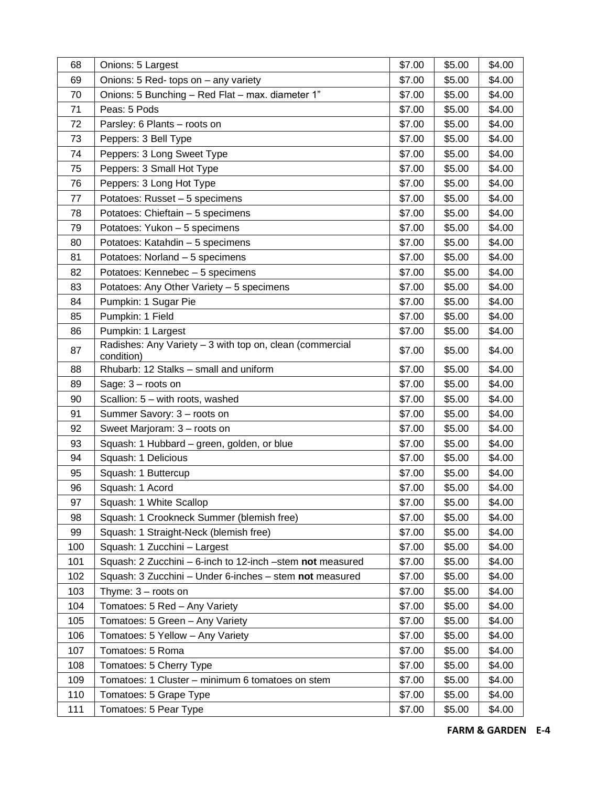| 68  | Onions: 5 Largest                                                      | \$7.00 | \$5.00 | \$4.00 |
|-----|------------------------------------------------------------------------|--------|--------|--------|
| 69  | Onions: 5 Red- tops on - any variety                                   | \$7.00 | \$5.00 | \$4.00 |
| 70  | Onions: 5 Bunching - Red Flat - max. diameter 1"                       | \$7.00 | \$5.00 | \$4.00 |
| 71  | Peas: 5 Pods                                                           | \$7.00 | \$5.00 | \$4.00 |
| 72  | Parsley: 6 Plants - roots on                                           | \$7.00 | \$5.00 | \$4.00 |
| 73  | Peppers: 3 Bell Type                                                   | \$7.00 | \$5.00 | \$4.00 |
| 74  | Peppers: 3 Long Sweet Type                                             | \$7.00 | \$5.00 | \$4.00 |
| 75  | Peppers: 3 Small Hot Type                                              | \$7.00 | \$5.00 | \$4.00 |
| 76  | Peppers: 3 Long Hot Type                                               | \$7.00 | \$5.00 | \$4.00 |
| 77  | Potatoes: Russet - 5 specimens                                         | \$7.00 | \$5.00 | \$4.00 |
| 78  | Potatoes: Chieftain - 5 specimens                                      | \$7.00 | \$5.00 | \$4.00 |
| 79  | Potatoes: Yukon - 5 specimens                                          | \$7.00 | \$5.00 | \$4.00 |
| 80  | Potatoes: Katahdin - 5 specimens                                       | \$7.00 | \$5.00 | \$4.00 |
| 81  | Potatoes: Norland - 5 specimens                                        | \$7.00 | \$5.00 | \$4.00 |
| 82  | Potatoes: Kennebec - 5 specimens                                       | \$7.00 | \$5.00 | \$4.00 |
| 83  | Potatoes: Any Other Variety - 5 specimens                              | \$7.00 | \$5.00 | \$4.00 |
| 84  | Pumpkin: 1 Sugar Pie                                                   | \$7.00 | \$5.00 | \$4.00 |
| 85  | Pumpkin: 1 Field                                                       | \$7.00 | \$5.00 | \$4.00 |
| 86  | Pumpkin: 1 Largest                                                     | \$7.00 | \$5.00 | \$4.00 |
| 87  | Radishes: Any Variety - 3 with top on, clean (commercial<br>condition) | \$7.00 | \$5.00 | \$4.00 |
| 88  | Rhubarb: 12 Stalks - small and uniform                                 | \$7.00 | \$5.00 | \$4.00 |
| 89  | Sage: 3 - roots on                                                     | \$7.00 | \$5.00 | \$4.00 |
| 90  | Scallion: 5 - with roots, washed                                       | \$7.00 | \$5.00 | \$4.00 |
| 91  | Summer Savory: 3 - roots on                                            | \$7.00 | \$5.00 | \$4.00 |
| 92  | Sweet Marjoram: 3 - roots on                                           | \$7.00 | \$5.00 | \$4.00 |
| 93  | Squash: 1 Hubbard - green, golden, or blue                             | \$7.00 | \$5.00 | \$4.00 |
| 94  | Squash: 1 Delicious                                                    | \$7.00 | \$5.00 | \$4.00 |
| 95  | Squash: 1 Buttercup                                                    | \$7.00 | \$5.00 | \$4.00 |
| 96  | Squash: 1 Acord                                                        | \$7.00 | \$5.00 | \$4.00 |
| 97  | Squash: 1 White Scallop                                                | \$7.00 | \$5.00 | \$4.00 |
| 98  | Squash: 1 Crookneck Summer (blemish free)                              | \$7.00 | \$5.00 | \$4.00 |
| 99  | Squash: 1 Straight-Neck (blemish free)                                 | \$7.00 | \$5.00 | \$4.00 |
| 100 | Squash: 1 Zucchini - Largest                                           | \$7.00 | \$5.00 | \$4.00 |
| 101 | Squash: 2 Zucchini - 6-inch to 12-inch -stem not measured              | \$7.00 | \$5.00 | \$4.00 |
| 102 | Squash: 3 Zucchini - Under 6-inches - stem not measured                | \$7.00 | \$5.00 | \$4.00 |
| 103 | Thyme: $3 -$ roots on                                                  | \$7.00 | \$5.00 | \$4.00 |
| 104 | Tomatoes: 5 Red - Any Variety                                          | \$7.00 | \$5.00 | \$4.00 |
| 105 | Tomatoes: 5 Green - Any Variety                                        | \$7.00 | \$5.00 | \$4.00 |
| 106 | Tomatoes: 5 Yellow - Any Variety                                       | \$7.00 | \$5.00 | \$4.00 |
| 107 | Tomatoes: 5 Roma                                                       | \$7.00 | \$5.00 | \$4.00 |
| 108 | Tomatoes: 5 Cherry Type                                                | \$7.00 | \$5.00 | \$4.00 |
| 109 | Tomatoes: 1 Cluster - minimum 6 tomatoes on stem                       | \$7.00 | \$5.00 | \$4.00 |
| 110 | Tomatoes: 5 Grape Type                                                 | \$7.00 | \$5.00 | \$4.00 |
| 111 | Tomatoes: 5 Pear Type                                                  | \$7.00 | \$5.00 | \$4.00 |